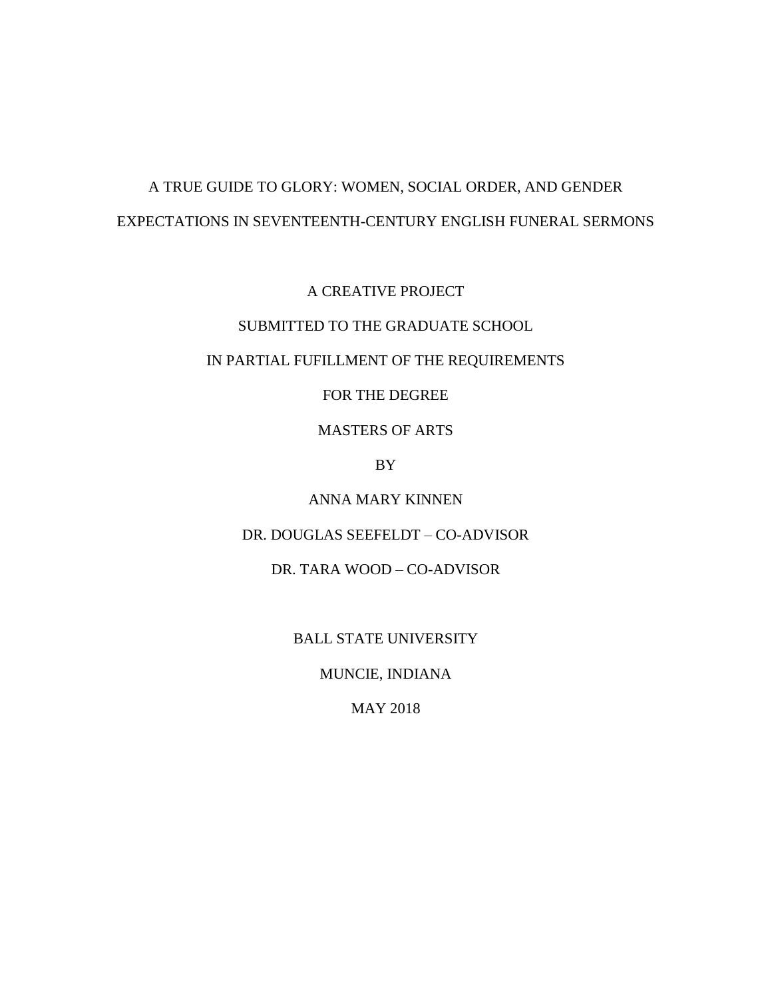# A TRUE GUIDE TO GLORY: WOMEN, SOCIAL ORDER, AND GENDER EXPECTATIONS IN SEVENTEENTH-CENTURY ENGLISH FUNERAL SERMONS

A CREATIVE PROJECT

# SUBMITTED TO THE GRADUATE SCHOOL

#### IN PARTIAL FUFILLMENT OF THE REQUIREMENTS

# FOR THE DEGREE

# MASTERS OF ARTS

BY

ANNA MARY KINNEN

## DR. DOUGLAS SEEFELDT – CO-ADVISOR

## DR. TARA WOOD – CO-ADVISOR

BALL STATE UNIVERSITY

MUNCIE, INDIANA

MAY 2018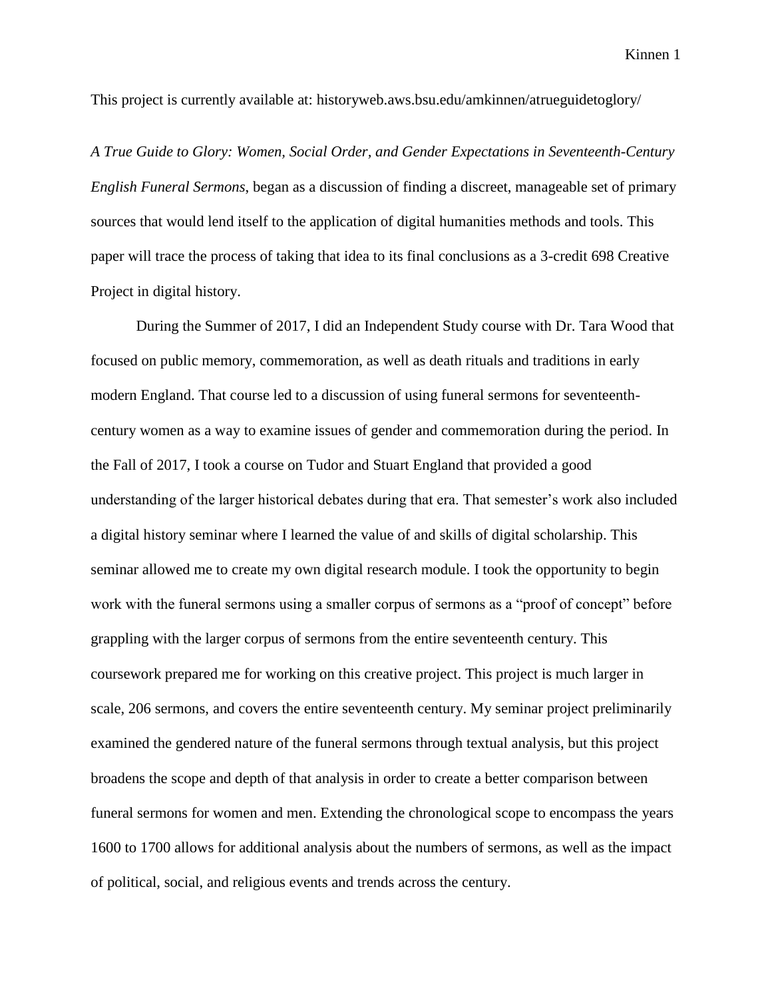This project is currently available at: historyweb.aws.bsu.edu/amkinnen/atrueguidetoglory/

*A True Guide to Glory: Women, Social Order, and Gender Expectations in Seventeenth-Century English Funeral Sermons*, began as a discussion of finding a discreet, manageable set of primary sources that would lend itself to the application of digital humanities methods and tools. This paper will trace the process of taking that idea to its final conclusions as a 3-credit 698 Creative Project in digital history.

During the Summer of 2017, I did an Independent Study course with Dr. Tara Wood that focused on public memory, commemoration, as well as death rituals and traditions in early modern England. That course led to a discussion of using funeral sermons for seventeenthcentury women as a way to examine issues of gender and commemoration during the period. In the Fall of 2017, I took a course on Tudor and Stuart England that provided a good understanding of the larger historical debates during that era. That semester's work also included a digital history seminar where I learned the value of and skills of digital scholarship. This seminar allowed me to create my own digital research module. I took the opportunity to begin work with the funeral sermons using a smaller corpus of sermons as a "proof of concept" before grappling with the larger corpus of sermons from the entire seventeenth century. This coursework prepared me for working on this creative project. This project is much larger in scale, 206 sermons, and covers the entire seventeenth century. My seminar project preliminarily examined the gendered nature of the funeral sermons through textual analysis, but this project broadens the scope and depth of that analysis in order to create a better comparison between funeral sermons for women and men. Extending the chronological scope to encompass the years 1600 to 1700 allows for additional analysis about the numbers of sermons, as well as the impact of political, social, and religious events and trends across the century.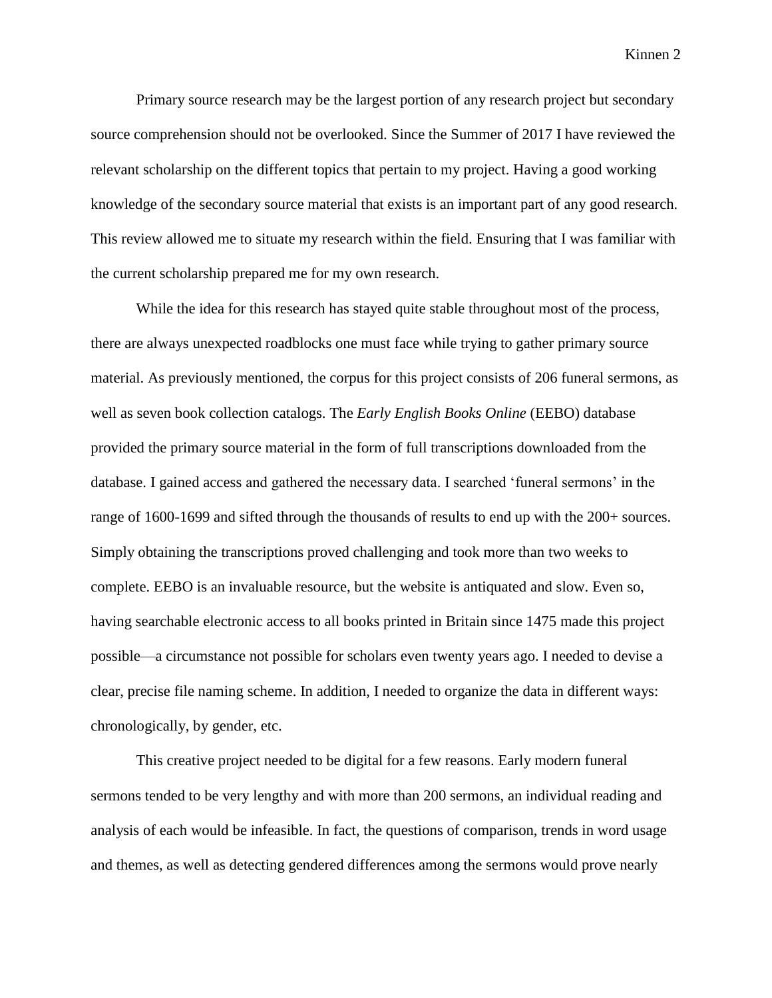Kinnen 2

Primary source research may be the largest portion of any research project but secondary source comprehension should not be overlooked. Since the Summer of 2017 I have reviewed the relevant scholarship on the different topics that pertain to my project. Having a good working knowledge of the secondary source material that exists is an important part of any good research. This review allowed me to situate my research within the field. Ensuring that I was familiar with the current scholarship prepared me for my own research.

While the idea for this research has stayed quite stable throughout most of the process, there are always unexpected roadblocks one must face while trying to gather primary source material. As previously mentioned, the corpus for this project consists of 206 funeral sermons, as well as seven book collection catalogs. The *Early English Books Online* (EEBO) database provided the primary source material in the form of full transcriptions downloaded from the database. I gained access and gathered the necessary data. I searched 'funeral sermons' in the range of 1600-1699 and sifted through the thousands of results to end up with the 200+ sources. Simply obtaining the transcriptions proved challenging and took more than two weeks to complete. EEBO is an invaluable resource, but the website is antiquated and slow. Even so, having searchable electronic access to all books printed in Britain since 1475 made this project possible—a circumstance not possible for scholars even twenty years ago. I needed to devise a clear, precise file naming scheme. In addition, I needed to organize the data in different ways: chronologically, by gender, etc.

This creative project needed to be digital for a few reasons. Early modern funeral sermons tended to be very lengthy and with more than 200 sermons, an individual reading and analysis of each would be infeasible. In fact, the questions of comparison, trends in word usage and themes, as well as detecting gendered differences among the sermons would prove nearly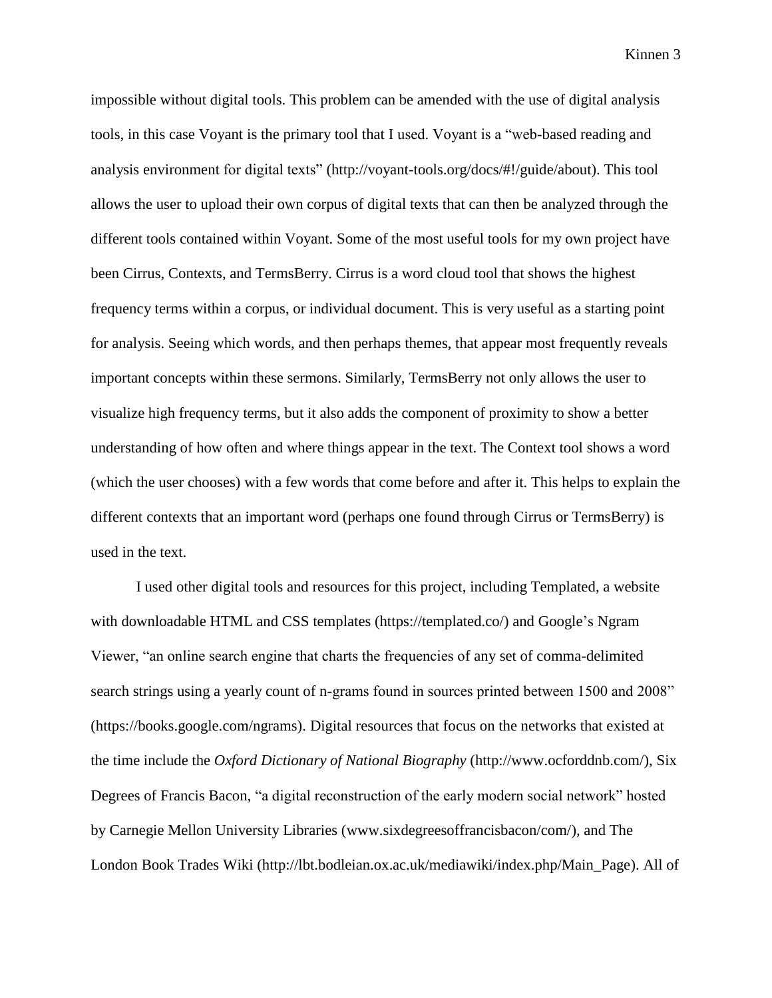Kinnen 3

impossible without digital tools. This problem can be amended with the use of digital analysis tools, in this case Voyant is the primary tool that I used. Voyant is a "web-based reading and analysis environment for digital texts" (http://voyant-tools.org/docs/#!/guide/about). This tool allows the user to upload their own corpus of digital texts that can then be analyzed through the different tools contained within Voyant. Some of the most useful tools for my own project have been Cirrus, Contexts, and TermsBerry. Cirrus is a word cloud tool that shows the highest frequency terms within a corpus, or individual document. This is very useful as a starting point for analysis. Seeing which words, and then perhaps themes, that appear most frequently reveals important concepts within these sermons. Similarly, TermsBerry not only allows the user to visualize high frequency terms, but it also adds the component of proximity to show a better understanding of how often and where things appear in the text. The Context tool shows a word (which the user chooses) with a few words that come before and after it. This helps to explain the different contexts that an important word (perhaps one found through Cirrus or TermsBerry) is used in the text.

I used other digital tools and resources for this project, including Templated, a website with downloadable HTML and CSS templates (https://templated.co/) and Google's Ngram Viewer, "an online search engine that charts the frequencies of any set of comma-delimited search strings using a yearly count of n-grams found in sources printed between 1500 and 2008" (https://books.google.com/ngrams). Digital resources that focus on the networks that existed at the time include the *Oxford Dictionary of National Biography* (http://www.ocforddnb.com/), Six Degrees of Francis Bacon, "a digital reconstruction of the early modern social network" hosted by Carnegie Mellon University Libraries (www.sixdegreesoffrancisbacon/com/), and The London Book Trades Wiki (http://lbt.bodleian.ox.ac.uk/mediawiki/index.php/Main\_Page). All of